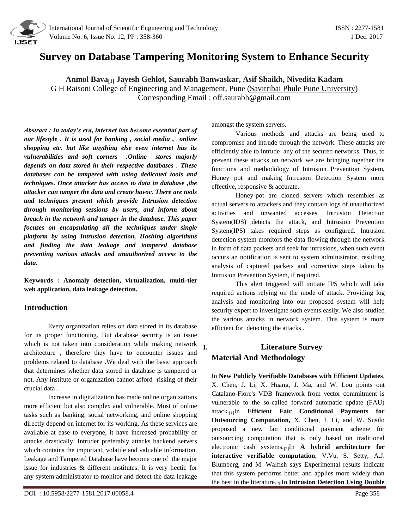

# **Survey on Database Tampering Monitoring System to Enhance Security**

**Anmol Bava[1] Jayesh Gehlot, Saurabh Banwaskar, Asif Shaikh, Nivedita Kadam** G H Raisoni College of Engineering and Management, Pune [\(Savitribai Phule Pune University\)](http://www.unipune.ac.in/) Corresponding Email : [off.saurabh@gmail.com](mailto:off.saurabh@gmail.com)

*Abstract : In today's era, internet has become essential part of our lifestyle . It is used for banking , social media , online shopping etc. but like anything else even internet has its vulnerabilities and soft corners .Online stores majorly depends on data stored in their respective databases . These databases can be tampered with using dedicated tools and techniques. Once attacker has access to data in database ,the attacker can tamper the data and create havoc. There are tools and techniques present which provide Intrusion detection through monitoring sessions by users, and inform about breach in the network and tamper in the database. This paper focuses on encapsulating all the techniques under single platform by using Intrusion detection, Hashing algorithms and finding the data leakage and tampered database preventing various attacks and unauthorized access to the data.* 

**Keywords : Anomaly detection, virtualization, multi-tier web application, data leakage detection.**

## **Introduction**

Every organization relies on data stored in its database for its proper functioning. But database security is an issue which is not taken into consideration while making network architecture , therefore they have to encounter issues and problems related to database .We deal with the basic approach that determines whether data stored in database is tampered or not. Any institute or organization cannot afford risking of their crucial data .

Increase in digitalization has made online organizations more efficient but also complex and vulnerable. Most of online tasks such as banking, social networking, and online shopping directly depend on internet for its working. As these services are available at ease to everyone, it have increased probability of attacks drastically. Intruder preferably attacks backend servers which contains the important, volatile and valuable information. Leakage and Tampered Database have become one of the major issue for industries & different institutes. It is very hectic for any system administrator to monitor and detect the data leakage

amongst the system servers.

Various methods and attacks are being used to compromise and intrude through the network. These attacks are efficiently able to intrude any of the secured networks. Thus, to prevent these attacks on network we are bringing together the functions and methodology of Intrusion Prevention System, Honey pot and making Intrusion Detection System more effective, responsive & accurate.

Honey-pot are cloned servers which resembles as actual servers to attackers and they contain logs of unauthorized activities and unwanted accesses. Intrusion Detection System(IDS) detects the attack, and Intrusion Prevention System(IPS) takes required steps as configured. Intrusion detection system monitors the data flowing through the network in form of data packets and seek for intrusions, when such event occurs an notification is sent to system administrator, resulting analysis of captured packets and corrective steps taken by Intrusion Prevention System, if required.

This alert triggered will initiate IPS which will take required actions relying on the mode of attack. Providing log analysis and monitoring into our proposed system will help security expert to investigate such events easily. We also studied the various attacks in network system. This system is more efficient for detecting the attacks .

# **I. Literature Survey Material And Methodology**

In **New Publicly Verifiable Databases with Efficient Updates**, X. Chen, J. Li, X. Huang, J. Ma, and W. Lou points out Catalano-Fiore's VDB framework from vector commitment is vulnerable to the so-called forward automatic update (FAU) attack.[1]In **Efficient Fair Conditional Payments for Outsourcing Computation,** X. Chen, J. Li, and W. Susilo proposed a new fair conditional payment scheme for outsourcing computation that is only based on traditional electronic cash systems.[2]In **A hybrid architecture for interactive verifiable computation**, V.Vu, S. Setty, A.J. Blumberg, and M. Walfish says Experimental results indicate that this system performs better and applies more widely than the best in the literature.[3]In **Intrusion Detection Using Double**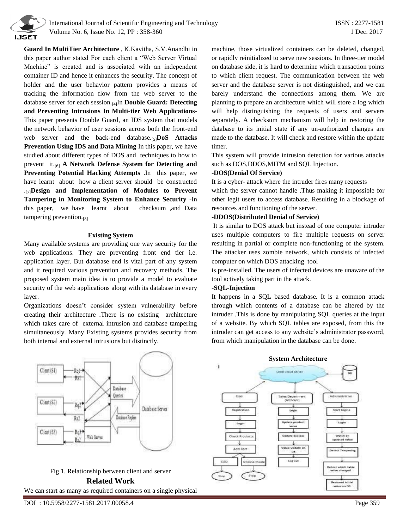

 International Journal of Scientific Engineering and Technology ISSN : 2277-1581 Volume No. 6, Issue No. 12, PP : 358-360 1 Dec. 2017

**Guard In MultiTier Architecture** , K.Kavitha, S.V.Anandhi in this paper author stated For each client a "Web Server Virtual Machine" is created and is associated with an independent container ID and hence it enhances the security. The concept of holder and the user behavior pattern provides a means of tracking the information flow from the web server to the database server for each session.[4]In **Double Guard: Detecting and Preventing Intrusions In Multi-tier Web Applications**-This paper presents Double Guard, an IDS system that models the network behavior of user sessions across both the front-end web server and the back-end database.[5]**DoS Attacks Prevention Using IDS and Data Mining** In this paper, we have studied about different types of DOS and techniques to how to prevent it.[6] **A Network Defense System for Detecting and Preventing Potential Hacking Attempts** .In this paper, we have learnt about how a client server should be constructed .[7]**Design and Implementation of Modules to Prevent Tampering in Monitoring System to Enhance Security** -In this paper, we have learnt about checksum ,and Data tampering prevention.<sup>[8]</sup>

### **Existing System**

Many available systems are providing one way security for the web applications. They are preventing front end tier i.e. application layer. But database end is vital part of any system and it required various prevention and recovery methods, The proposed system main idea is to provide a model to evaluate security of the web applications along with its database in every layer.

Organizations doesn't consider system vulnerability before creating their architecture .There is no existing architecture which takes care of external intrusion and database tampering simultaneously. Many Existing systems provides security from both internal and external intrusions but distinctly.





We can start as many as required containers on a single physical

machine, those virtualized containers can be deleted, changed, or rapidly reinitialized to serve new sessions. In three-tier model on database side, it is hard to determine which transaction points to which client request. The communication between the web server and the database server is not distinguished, and we can barely understand the connections among them. We are planning to prepare an architecture which will store a log which will help distinguishing the requests of users and servers separately. A checksum mechanism will help in restoring the database to its initial state if any un-authorized changes are made to the database. It will check and restore within the update timer.

This system will provide intrusion detection for various attacks such as DOS,DDOS,MITM and SQL Injection.

#### -**DOS(Denial Of Service)**

It is a cyber- attack where the intruder fires many requests

which the server cannot handle .Thus making it impossible for other legit users to access database. Resulting in a blockage of resources and functioning of the server.

### -**DDOS(Distributed Denial of Service)**

It is similar to DOS attack but instead of one computer intruder uses multiple computers to fire multiple requests on server resulting in partial or complete non-functioning of the system. The attacker uses zombie network, which consists of infected computer on which DOS attacking tool

is pre-installed. The users of infected devices are unaware of the tool actively taking part in the attack.

#### -**SQL-Injection**

It happens in a SQL based database. It is a common attack through which contents of a database can be altered by the intruder .This is done by manipulating SQL queries at the input of a website. By which SQL tables are exposed, from this the intruder can get access to any website's administrator password, from which manipulation in the database can be done.

#### **System Architecture**